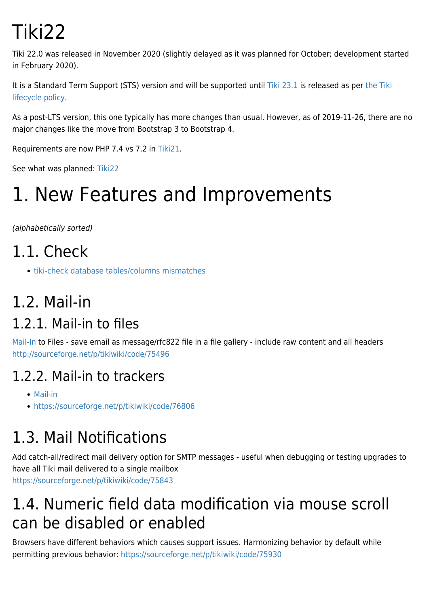# Tiki22

Tiki 22.0 was released in November 2020 (slightly delayed as it was planned for October; development started in February 2020).

It is a Standard Term Support (STS) version and will be supported until [Tiki 23.1](https://doc.tiki.org/Tiki23) is released as per [the Tiki](http://tiki.org/Versions) [lifecycle policy](http://tiki.org/Versions).

As a post-LTS version, this one typically has more changes than usual. However, as of 2019-11-26, there are no major changes like the move from Bootstrap 3 to Bootstrap 4.

Requirements are now PHP 7.4 vs 7.2 in [Tiki21](https://doc.tiki.org/Tiki21).

See what was planned: [Tiki22](http://dev.tiki.org/Tiki22)

# 1. New Features and Improvements

(alphabetically sorted)

- 1.1. Check
	- [tiki-check database tables/columns mismatches](https://sourceforge.net/p/tikiwiki/code/76193/)

### 1.2. Mail-in

#### 1.2.1. Mail-in to files

[Mail-In](https://doc.tiki.org/Mail-in) to Files - save email as message/rfc822 file in a file gallery - include raw content and all headers <http://sourceforge.net/p/tikiwiki/code/75496>

#### 1.2.2. Mail-in to trackers

- [Mail-in](https://doc.tiki.org/Mail-in)
- <https://sourceforge.net/p/tikiwiki/code/76806>

# 1.3. Mail Notifications

Add catch-all/redirect mail delivery option for SMTP messages - useful when debugging or testing upgrades to have all Tiki mail delivered to a single mailbox <https://sourceforge.net/p/tikiwiki/code/75843>

### 1.4. Numeric field data modification via mouse scroll can be disabled or enabled

Browsers have different behaviors which causes support issues. Harmonizing behavior by default while permitting previous behavior: <https://sourceforge.net/p/tikiwiki/code/75930>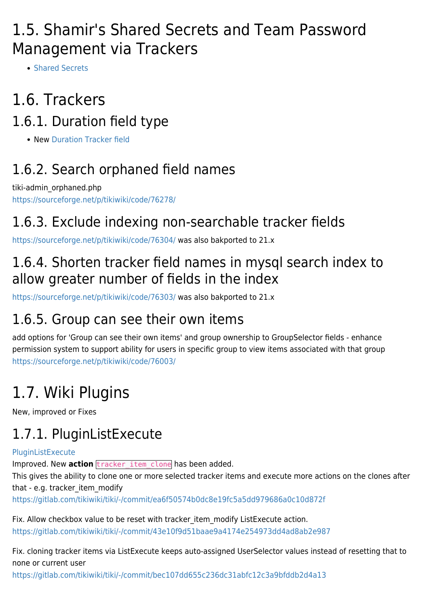#### 1.5. Shamir's Shared Secrets and Team Password Management via Trackers

• [Shared Secrets](https://doc.tiki.org/Shared-Secrets)

# 1.6. Trackers

#### 1.6.1. Duration field type

• New [Duration Tracker field](https://doc.tiki.org/Duration-Tracker-field)

#### 1.6.2. Search orphaned field names

tiki-admin\_orphaned.php <https://sourceforge.net/p/tikiwiki/code/76278/>

#### 1.6.3. Exclude indexing non-searchable tracker fields

<https://sourceforge.net/p/tikiwiki/code/76304/>was also bakported to 21.x

#### 1.6.4. Shorten tracker field names in mysql search index to allow greater number of fields in the index

<https://sourceforge.net/p/tikiwiki/code/76303/>was also bakported to 21.x

#### 1.6.5. Group can see their own items

add options for 'Group can see their own items' and group ownership to GroupSelector fields - enhance permission system to support ability for users in specific group to view items associated with that group <https://sourceforge.net/p/tikiwiki/code/76003/>

# 1.7. Wiki Plugins

New, improved or Fixes

### 1.7.1. PluginListExecute

#### [PluginListExecute](https://doc.tiki.org/PluginListExecute)

Improved. New action **tracker** item clone has been added.

This gives the ability to clone one or more selected tracker items and execute more actions on the clones after that - e.g. tracker\_item\_modify

<https://gitlab.com/tikiwiki/tiki/-/commit/ea6f50574b0dc8e19fc5a5dd979686a0c10d872f>

Fix. Allow checkbox value to be reset with tracker item\_modify ListExecute action. <https://gitlab.com/tikiwiki/tiki/-/commit/43e10f9d51baae9a4174e254973dd4ad8ab2e987>

Fix. cloning tracker items via ListExecute keeps auto-assigned UserSelector values instead of resetting that to none or current user

<https://gitlab.com/tikiwiki/tiki/-/commit/bec107dd655c236dc31abfc12c3a9bfddb2d4a13>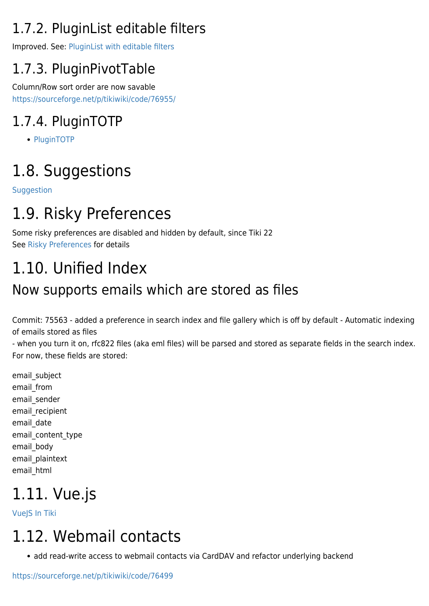### 1.7.2. PluginList editable filters

Improved. See: [PluginList with editable filters](https://doc.tiki.org/PluginList-with-editable-filters)

#### 1.7.3. PluginPivotTable

Column/Row sort order are now savable <https://sourceforge.net/p/tikiwiki/code/76955/>

### 1.7.4. PluginTOTP

• [PluginTOTP](https://doc.tiki.org/PluginTOTP)

# 1.8. Suggestions

**[Suggestion](https://doc.tiki.org/Suggestion)** 

# 1.9. Risky Preferences

Some risky preferences are disabled and hidden by default, since Tiki 22 See [Risky Preferences](https://doc.tiki.org/Risky-Preferences) for details

# 1.10. Unified Index

#### Now supports emails which are stored as files

Commit: 75563 - added a preference in search index and file gallery which is off by default - Automatic indexing of emails stored as files

- when you turn it on, rfc822 files (aka eml files) will be parsed and stored as separate fields in the search index. For now, these fields are stored:

email\_subject email\_from email\_sender email\_recipient email date email\_content\_type email\_body email\_plaintext email\_html

# 1.11. Vue.js

[VueJS In Tiki](http://dev.tiki.org/VueJS%20In%20Tiki)

### 1.12. Webmail contacts

• add read-write access to webmail contacts via CardDAV and refactor underlying backend